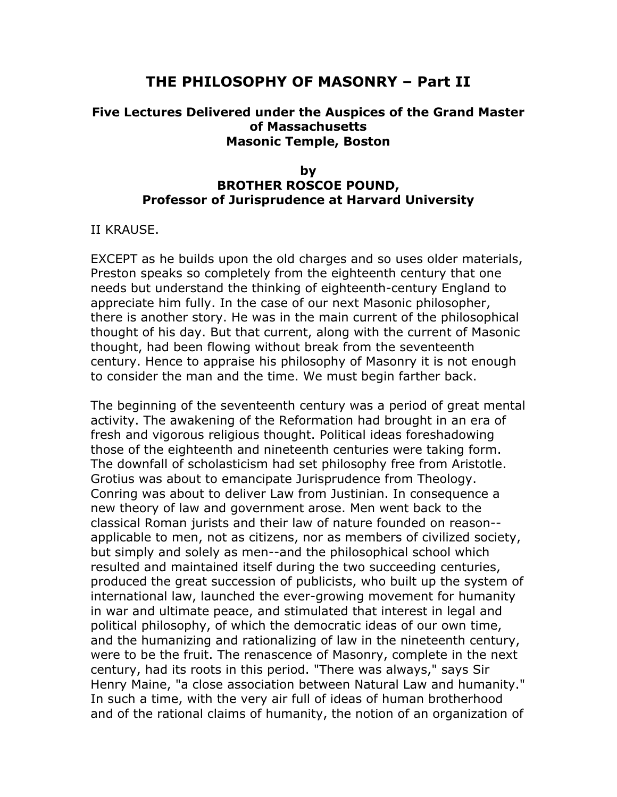# **THE PHILOSOPHY OF MASONRY – Part II**

## **Five Lectures Delivered under the Auspices of the Grand Master of Massachusetts Masonic Temple, Boston**

### **by BROTHER ROSCOE POUND, Professor of Jurisprudence at Harvard University**

II KRAUSE.

EXCEPT as he builds upon the old charges and so uses older materials, Preston speaks so completely from the eighteenth century that one needs but understand the thinking of eighteenth-century England to appreciate him fully. In the case of our next Masonic philosopher, there is another story. He was in the main current of the philosophical thought of his day. But that current, along with the current of Masonic thought, had been flowing without break from the seventeenth century. Hence to appraise his philosophy of Masonry it is not enough to consider the man and the time. We must begin farther back.

The beginning of the seventeenth century was a period of great mental activity. The awakening of the Reformation had brought in an era of fresh and vigorous religious thought. Political ideas foreshadowing those of the eighteenth and nineteenth centuries were taking form. The downfall of scholasticism had set philosophy free from Aristotle. Grotius was about to emancipate Jurisprudence from Theology. Conring was about to deliver Law from Justinian. In consequence a new theory of law and government arose. Men went back to the classical Roman jurists and their law of nature founded on reason- applicable to men, not as citizens, nor as members of civilized society, but simply and solely as men--and the philosophical school which resulted and maintained itself during the two succeeding centuries, produced the great succession of publicists, who built up the system of international law, launched the ever-growing movement for humanity in war and ultimate peace, and stimulated that interest in legal and political philosophy, of which the democratic ideas of our own time, and the humanizing and rationalizing of law in the nineteenth century, were to be the fruit. The renascence of Masonry, complete in the next century, had its roots in this period. "There was always," says Sir Henry Maine, "a close association between Natural Law and humanity." In such a time, with the very air full of ideas of human brotherhood and of the rational claims of humanity, the notion of an organization of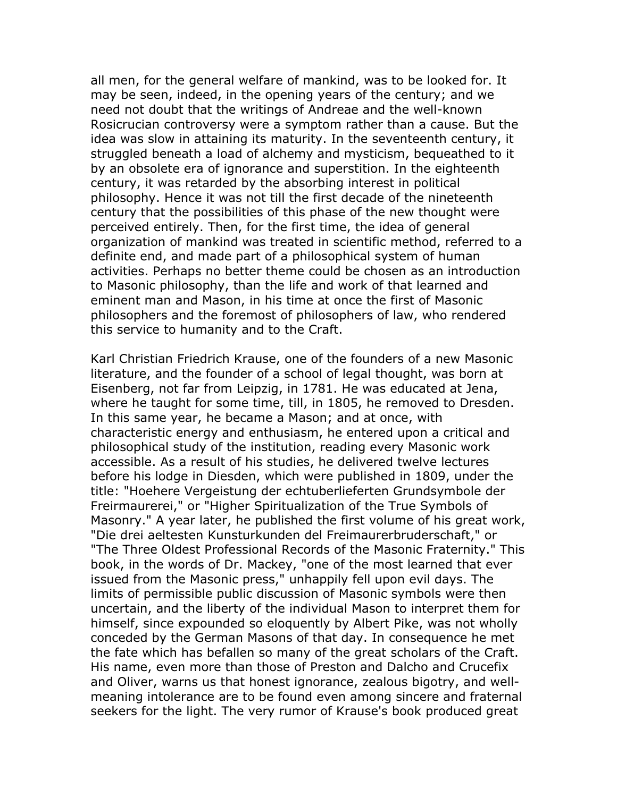all men, for the general welfare of mankind, was to be looked for. It may be seen, indeed, in the opening years of the century; and we need not doubt that the writings of Andreae and the well-known Rosicrucian controversy were a symptom rather than a cause. But the idea was slow in attaining its maturity. In the seventeenth century, it struggled beneath a load of alchemy and mysticism, bequeathed to it by an obsolete era of ignorance and superstition. In the eighteenth century, it was retarded by the absorbing interest in political philosophy. Hence it was not till the first decade of the nineteenth century that the possibilities of this phase of the new thought were perceived entirely. Then, for the first time, the idea of general organization of mankind was treated in scientific method, referred to a definite end, and made part of a philosophical system of human activities. Perhaps no better theme could be chosen as an introduction to Masonic philosophy, than the life and work of that learned and eminent man and Mason, in his time at once the first of Masonic philosophers and the foremost of philosophers of law, who rendered this service to humanity and to the Craft.

Karl Christian Friedrich Krause, one of the founders of a new Masonic literature, and the founder of a school of legal thought, was born at Eisenberg, not far from Leipzig, in 1781. He was educated at Jena, where he taught for some time, till, in 1805, he removed to Dresden. In this same year, he became a Mason; and at once, with characteristic energy and enthusiasm, he entered upon a critical and philosophical study of the institution, reading every Masonic work accessible. As a result of his studies, he delivered twelve lectures before his lodge in Diesden, which were published in 1809, under the title: "Hoehere Vergeistung der echtuberlieferten Grundsymbole der Freirmaurerei," or "Higher Spiritualization of the True Symbols of Masonry." A year later, he published the first volume of his great work, "Die drei aeltesten Kunsturkunden del Freimaurerbruderschaft," or "The Three Oldest Professional Records of the Masonic Fraternity." This book, in the words of Dr. Mackey, "one of the most learned that ever issued from the Masonic press," unhappily fell upon evil days. The limits of permissible public discussion of Masonic symbols were then uncertain, and the liberty of the individual Mason to interpret them for himself, since expounded so eloquently by Albert Pike, was not wholly conceded by the German Masons of that day. In consequence he met the fate which has befallen so many of the great scholars of the Craft. His name, even more than those of Preston and Dalcho and Crucefix and Oliver, warns us that honest ignorance, zealous bigotry, and wellmeaning intolerance are to be found even among sincere and fraternal seekers for the light. The very rumor of Krause's book produced great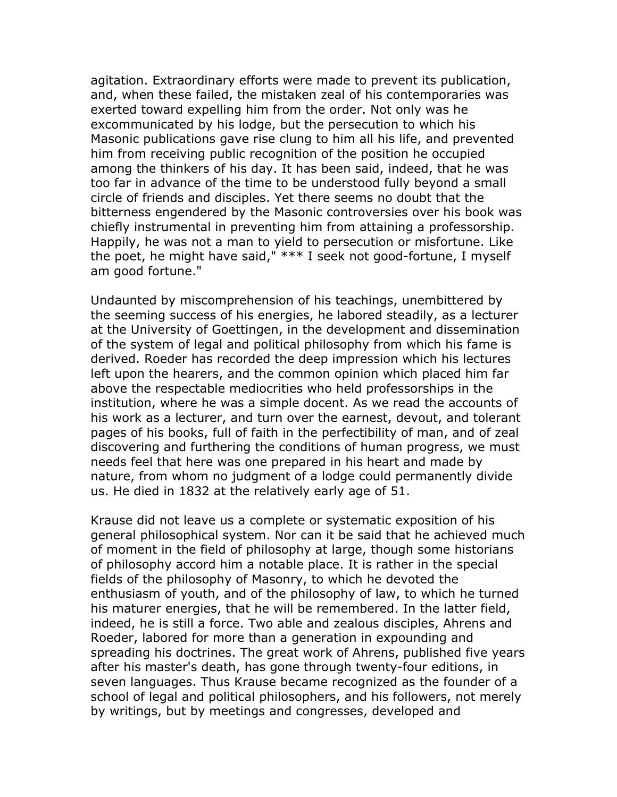agitation. Extraordinary efforts were made to prevent its publication, and, when these failed, the mistaken zeal of his contemporaries was exerted toward expelling him from the order. Not only was he excommunicated by his lodge, but the persecution to which his Masonic publications gave rise clung to him all his life, and prevented him from receiving public recognition of the position he occupied among the thinkers of his day. It has been said, indeed, that he was too far in advance of the time to be understood fully beyond a small circle of friends and disciples. Yet there seems no doubt that the bitterness engendered by the Masonic controversies over his book was chiefly instrumental in preventing him from attaining a professorship. Happily, he was not a man to yield to persecution or misfortune. Like the poet, he might have said," \*\*\* I seek not good-fortune, I myself am good fortune."

Undaunted by miscomprehension of his teachings, unembittered by the seeming success of his energies, he labored steadily, as a lecturer at the University of Goettingen, in the development and dissemination of the system of legal and political philosophy from which his fame is derived. Roeder has recorded the deep impression which his lectures left upon the hearers, and the common opinion which placed him far above the respectable mediocrities who held professorships in the institution, where he was a simple docent. As we read the accounts of his work as a lecturer, and turn over the earnest, devout, and tolerant pages of his books, full of faith in the perfectibility of man, and of zeal discovering and furthering the conditions of human progress, we must needs feel that here was one prepared in his heart and made by nature, from whom no judgment of a lodge could permanently divide us. He died in 1832 at the relatively early age of 51.

Krause did not leave us a complete or systematic exposition of his general philosophical system. Nor can it be said that he achieved much of moment in the field of philosophy at large, though some historians of philosophy accord him a notable place. It is rather in the special fields of the philosophy of Masonry, to which he devoted the enthusiasm of youth, and of the philosophy of law, to which he turned his maturer energies, that he will be remembered. In the latter field, indeed, he is still a force. Two able and zealous disciples, Ahrens and Roeder, labored for more than a generation in expounding and spreading his doctrines. The great work of Ahrens, published five years after his master's death, has gone through twenty-four editions, in seven languages. Thus Krause became recognized as the founder of a school of legal and political philosophers, and his followers, not merely by writings, but by meetings and congresses, developed and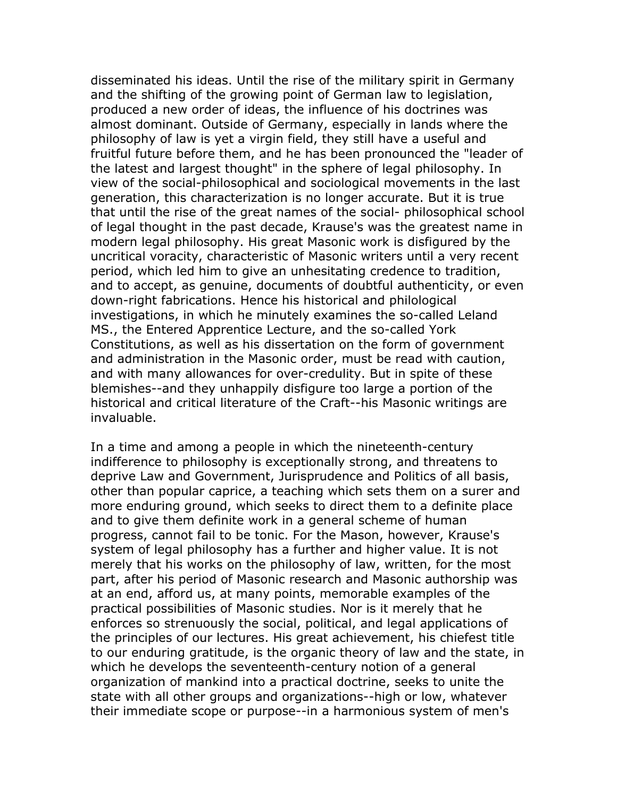disseminated his ideas. Until the rise of the military spirit in Germany and the shifting of the growing point of German law to legislation, produced a new order of ideas, the influence of his doctrines was almost dominant. Outside of Germany, especially in lands where the philosophy of law is yet a virgin field, they still have a useful and fruitful future before them, and he has been pronounced the "leader of the latest and largest thought" in the sphere of legal philosophy. In view of the social-philosophical and sociological movements in the last generation, this characterization is no longer accurate. But it is true that until the rise of the great names of the social- philosophical school of legal thought in the past decade, Krause's was the greatest name in modern legal philosophy. His great Masonic work is disfigured by the uncritical voracity, characteristic of Masonic writers until a very recent period, which led him to give an unhesitating credence to tradition, and to accept, as genuine, documents of doubtful authenticity, or even down-right fabrications. Hence his historical and philological investigations, in which he minutely examines the so-called Leland MS., the Entered Apprentice Lecture, and the so-called York Constitutions, as well as his dissertation on the form of government and administration in the Masonic order, must be read with caution, and with many allowances for over-credulity. But in spite of these blemishes--and they unhappily disfigure too large a portion of the historical and critical literature of the Craft--his Masonic writings are invaluable.

In a time and among a people in which the nineteenth-century indifference to philosophy is exceptionally strong, and threatens to deprive Law and Government, Jurisprudence and Politics of all basis, other than popular caprice, a teaching which sets them on a surer and more enduring ground, which seeks to direct them to a definite place and to give them definite work in a general scheme of human progress, cannot fail to be tonic. For the Mason, however, Krause's system of legal philosophy has a further and higher value. It is not merely that his works on the philosophy of law, written, for the most part, after his period of Masonic research and Masonic authorship was at an end, afford us, at many points, memorable examples of the practical possibilities of Masonic studies. Nor is it merely that he enforces so strenuously the social, political, and legal applications of the principles of our lectures. His great achievement, his chiefest title to our enduring gratitude, is the organic theory of law and the state, in which he develops the seventeenth-century notion of a general organization of mankind into a practical doctrine, seeks to unite the state with all other groups and organizations--high or low, whatever their immediate scope or purpose--in a harmonious system of men's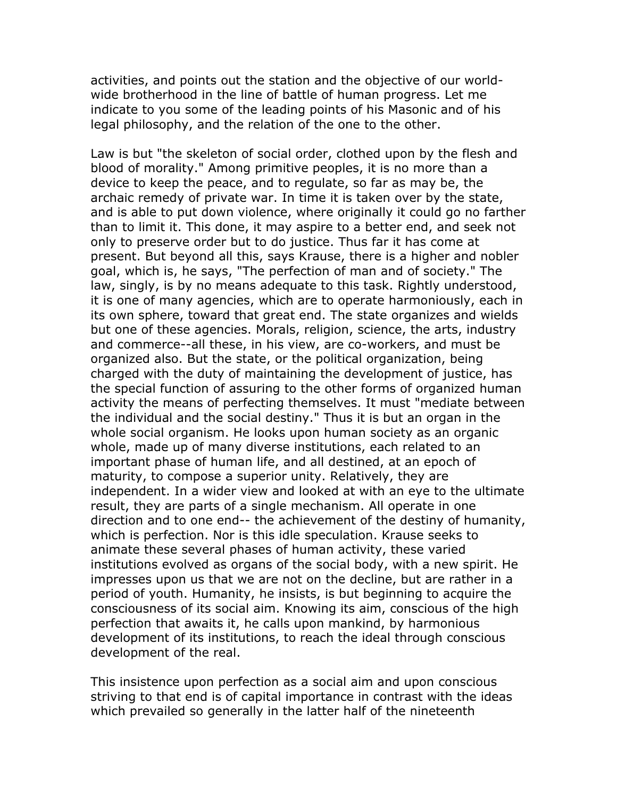activities, and points out the station and the objective of our worldwide brotherhood in the line of battle of human progress. Let me indicate to you some of the leading points of his Masonic and of his legal philosophy, and the relation of the one to the other.

Law is but "the skeleton of social order, clothed upon by the flesh and blood of morality." Among primitive peoples, it is no more than a device to keep the peace, and to regulate, so far as may be, the archaic remedy of private war. In time it is taken over by the state, and is able to put down violence, where originally it could go no farther than to limit it. This done, it may aspire to a better end, and seek not only to preserve order but to do justice. Thus far it has come at present. But beyond all this, says Krause, there is a higher and nobler goal, which is, he says, "The perfection of man and of society." The law, singly, is by no means adequate to this task. Rightly understood, it is one of many agencies, which are to operate harmoniously, each in its own sphere, toward that great end. The state organizes and wields but one of these agencies. Morals, religion, science, the arts, industry and commerce--all these, in his view, are co-workers, and must be organized also. But the state, or the political organization, being charged with the duty of maintaining the development of justice, has the special function of assuring to the other forms of organized human activity the means of perfecting themselves. It must "mediate between the individual and the social destiny." Thus it is but an organ in the whole social organism. He looks upon human society as an organic whole, made up of many diverse institutions, each related to an important phase of human life, and all destined, at an epoch of maturity, to compose a superior unity. Relatively, they are independent. In a wider view and looked at with an eye to the ultimate result, they are parts of a single mechanism. All operate in one direction and to one end-- the achievement of the destiny of humanity, which is perfection. Nor is this idle speculation. Krause seeks to animate these several phases of human activity, these varied institutions evolved as organs of the social body, with a new spirit. He impresses upon us that we are not on the decline, but are rather in a period of youth. Humanity, he insists, is but beginning to acquire the consciousness of its social aim. Knowing its aim, conscious of the high perfection that awaits it, he calls upon mankind, by harmonious development of its institutions, to reach the ideal through conscious development of the real.

This insistence upon perfection as a social aim and upon conscious striving to that end is of capital importance in contrast with the ideas which prevailed so generally in the latter half of the nineteenth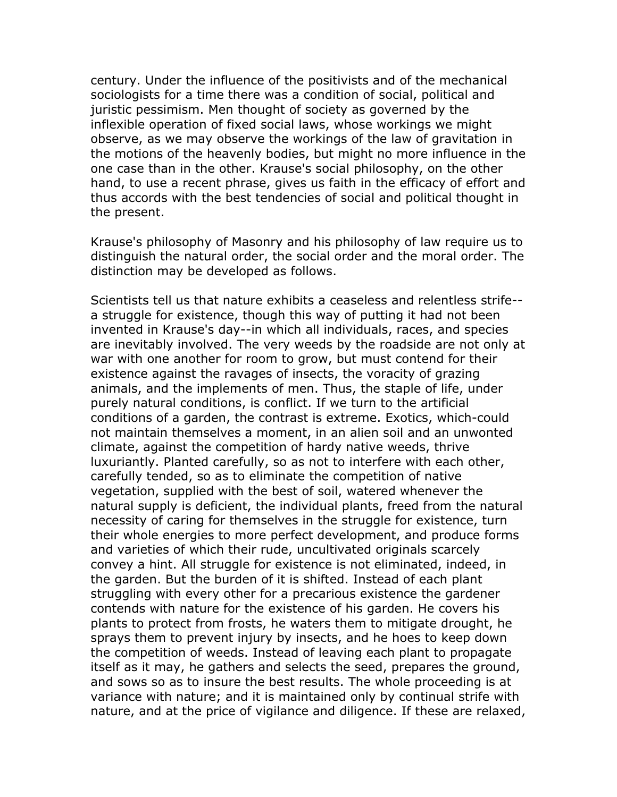century. Under the influence of the positivists and of the mechanical sociologists for a time there was a condition of social, political and juristic pessimism. Men thought of society as governed by the inflexible operation of fixed social laws, whose workings we might observe, as we may observe the workings of the law of gravitation in the motions of the heavenly bodies, but might no more influence in the one case than in the other. Krause's social philosophy, on the other hand, to use a recent phrase, gives us faith in the efficacy of effort and thus accords with the best tendencies of social and political thought in the present.

Krause's philosophy of Masonry and his philosophy of law require us to distinguish the natural order, the social order and the moral order. The distinction may be developed as follows.

Scientists tell us that nature exhibits a ceaseless and relentless strife- a struggle for existence, though this way of putting it had not been invented in Krause's day--in which all individuals, races, and species are inevitably involved. The very weeds by the roadside are not only at war with one another for room to grow, but must contend for their existence against the ravages of insects, the voracity of grazing animals, and the implements of men. Thus, the staple of life, under purely natural conditions, is conflict. If we turn to the artificial conditions of a garden, the contrast is extreme. Exotics, which-could not maintain themselves a moment, in an alien soil and an unwonted climate, against the competition of hardy native weeds, thrive luxuriantly. Planted carefully, so as not to interfere with each other, carefully tended, so as to eliminate the competition of native vegetation, supplied with the best of soil, watered whenever the natural supply is deficient, the individual plants, freed from the natural necessity of caring for themselves in the struggle for existence, turn their whole energies to more perfect development, and produce forms and varieties of which their rude, uncultivated originals scarcely convey a hint. All struggle for existence is not eliminated, indeed, in the garden. But the burden of it is shifted. Instead of each plant struggling with every other for a precarious existence the gardener contends with nature for the existence of his garden. He covers his plants to protect from frosts, he waters them to mitigate drought, he sprays them to prevent injury by insects, and he hoes to keep down the competition of weeds. Instead of leaving each plant to propagate itself as it may, he gathers and selects the seed, prepares the ground, and sows so as to insure the best results. The whole proceeding is at variance with nature; and it is maintained only by continual strife with nature, and at the price of vigilance and diligence. If these are relaxed,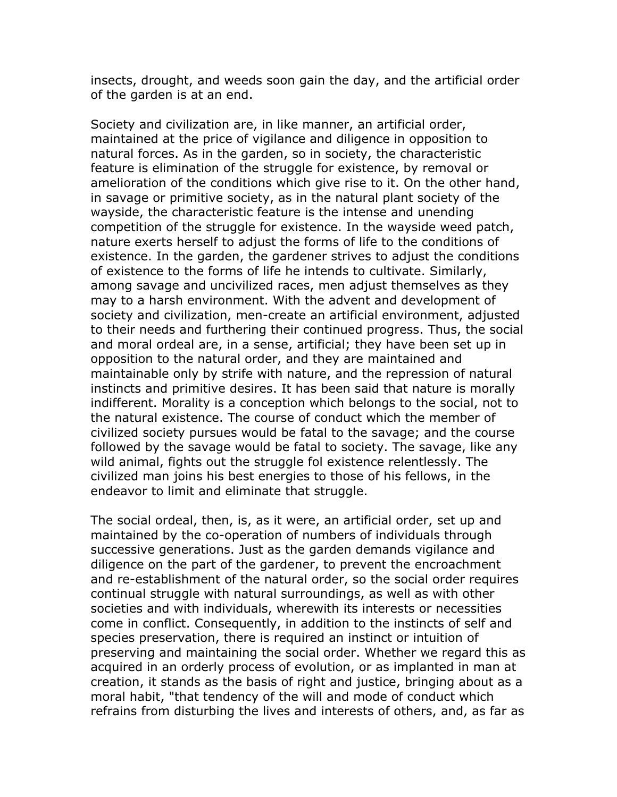insects, drought, and weeds soon gain the day, and the artificial order of the garden is at an end.

Society and civilization are, in like manner, an artificial order, maintained at the price of vigilance and diligence in opposition to natural forces. As in the garden, so in society, the characteristic feature is elimination of the struggle for existence, by removal or amelioration of the conditions which give rise to it. On the other hand, in savage or primitive society, as in the natural plant society of the wayside, the characteristic feature is the intense and unending competition of the struggle for existence. In the wayside weed patch, nature exerts herself to adjust the forms of life to the conditions of existence. In the garden, the gardener strives to adjust the conditions of existence to the forms of life he intends to cultivate. Similarly, among savage and uncivilized races, men adjust themselves as they may to a harsh environment. With the advent and development of society and civilization, men-create an artificial environment, adjusted to their needs and furthering their continued progress. Thus, the social and moral ordeal are, in a sense, artificial; they have been set up in opposition to the natural order, and they are maintained and maintainable only by strife with nature, and the repression of natural instincts and primitive desires. It has been said that nature is morally indifferent. Morality is a conception which belongs to the social, not to the natural existence. The course of conduct which the member of civilized society pursues would be fatal to the savage; and the course followed by the savage would be fatal to society. The savage, like any wild animal, fights out the struggle fol existence relentlessly. The civilized man joins his best energies to those of his fellows, in the endeavor to limit and eliminate that struggle.

The social ordeal, then, is, as it were, an artificial order, set up and maintained by the co-operation of numbers of individuals through successive generations. Just as the garden demands vigilance and diligence on the part of the gardener, to prevent the encroachment and re-establishment of the natural order, so the social order requires continual struggle with natural surroundings, as well as with other societies and with individuals, wherewith its interests or necessities come in conflict. Consequently, in addition to the instincts of self and species preservation, there is required an instinct or intuition of preserving and maintaining the social order. Whether we regard this as acquired in an orderly process of evolution, or as implanted in man at creation, it stands as the basis of right and justice, bringing about as a moral habit, "that tendency of the will and mode of conduct which refrains from disturbing the lives and interests of others, and, as far as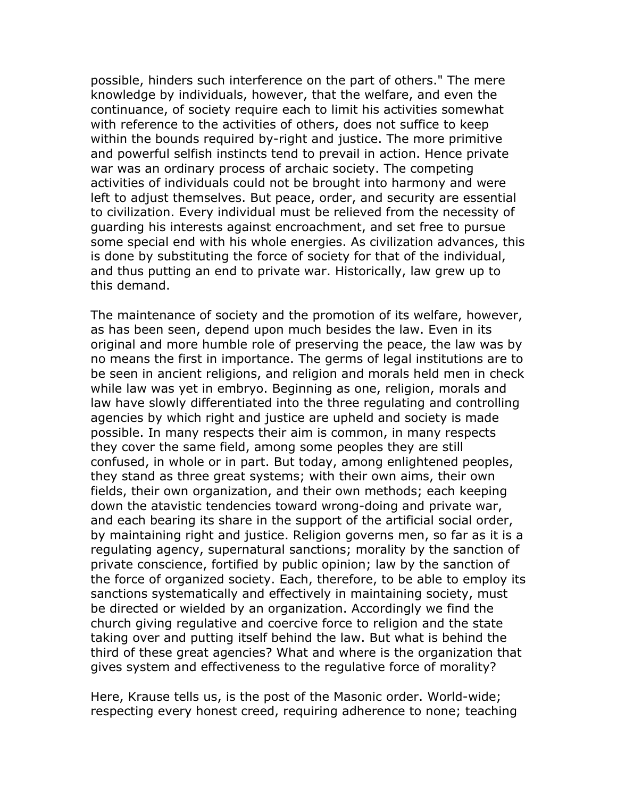possible, hinders such interference on the part of others." The mere knowledge by individuals, however, that the welfare, and even the continuance, of society require each to limit his activities somewhat with reference to the activities of others, does not suffice to keep within the bounds required by-right and justice. The more primitive and powerful selfish instincts tend to prevail in action. Hence private war was an ordinary process of archaic society. The competing activities of individuals could not be brought into harmony and were left to adjust themselves. But peace, order, and security are essential to civilization. Every individual must be relieved from the necessity of guarding his interests against encroachment, and set free to pursue some special end with his whole energies. As civilization advances, this is done by substituting the force of society for that of the individual, and thus putting an end to private war. Historically, law grew up to this demand.

The maintenance of society and the promotion of its welfare, however, as has been seen, depend upon much besides the law. Even in its original and more humble role of preserving the peace, the law was by no means the first in importance. The germs of legal institutions are to be seen in ancient religions, and religion and morals held men in check while law was yet in embryo. Beginning as one, religion, morals and law have slowly differentiated into the three regulating and controlling agencies by which right and justice are upheld and society is made possible. In many respects their aim is common, in many respects they cover the same field, among some peoples they are still confused, in whole or in part. But today, among enlightened peoples, they stand as three great systems; with their own aims, their own fields, their own organization, and their own methods; each keeping down the atavistic tendencies toward wrong-doing and private war, and each bearing its share in the support of the artificial social order, by maintaining right and justice. Religion governs men, so far as it is a regulating agency, supernatural sanctions; morality by the sanction of private conscience, fortified by public opinion; law by the sanction of the force of organized society. Each, therefore, to be able to employ its sanctions systematically and effectively in maintaining society, must be directed or wielded by an organization. Accordingly we find the church giving regulative and coercive force to religion and the state taking over and putting itself behind the law. But what is behind the third of these great agencies? What and where is the organization that gives system and effectiveness to the regulative force of morality?

Here, Krause tells us, is the post of the Masonic order. World-wide; respecting every honest creed, requiring adherence to none; teaching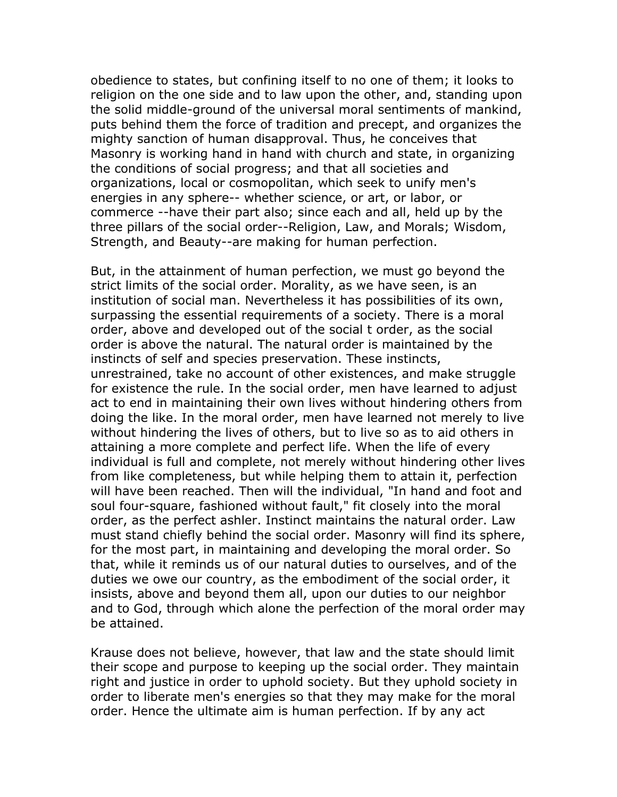obedience to states, but confining itself to no one of them; it looks to religion on the one side and to law upon the other, and, standing upon the solid middle-ground of the universal moral sentiments of mankind, puts behind them the force of tradition and precept, and organizes the mighty sanction of human disapproval. Thus, he conceives that Masonry is working hand in hand with church and state, in organizing the conditions of social progress; and that all societies and organizations, local or cosmopolitan, which seek to unify men's energies in any sphere-- whether science, or art, or labor, or commerce --have their part also; since each and all, held up by the three pillars of the social order--Religion, Law, and Morals; Wisdom, Strength, and Beauty--are making for human perfection.

But, in the attainment of human perfection, we must go beyond the strict limits of the social order. Morality, as we have seen, is an institution of social man. Nevertheless it has possibilities of its own, surpassing the essential requirements of a society. There is a moral order, above and developed out of the social t order, as the social order is above the natural. The natural order is maintained by the instincts of self and species preservation. These instincts, unrestrained, take no account of other existences, and make struggle for existence the rule. In the social order, men have learned to adjust act to end in maintaining their own lives without hindering others from doing the like. In the moral order, men have learned not merely to live without hindering the lives of others, but to live so as to aid others in attaining a more complete and perfect life. When the life of every individual is full and complete, not merely without hindering other lives from like completeness, but while helping them to attain it, perfection will have been reached. Then will the individual, "In hand and foot and soul four-square, fashioned without fault," fit closely into the moral order, as the perfect ashler. Instinct maintains the natural order. Law must stand chiefly behind the social order. Masonry will find its sphere, for the most part, in maintaining and developing the moral order. So that, while it reminds us of our natural duties to ourselves, and of the duties we owe our country, as the embodiment of the social order, it insists, above and beyond them all, upon our duties to our neighbor and to God, through which alone the perfection of the moral order may be attained.

Krause does not believe, however, that law and the state should limit their scope and purpose to keeping up the social order. They maintain right and justice in order to uphold society. But they uphold society in order to liberate men's energies so that they may make for the moral order. Hence the ultimate aim is human perfection. If by any act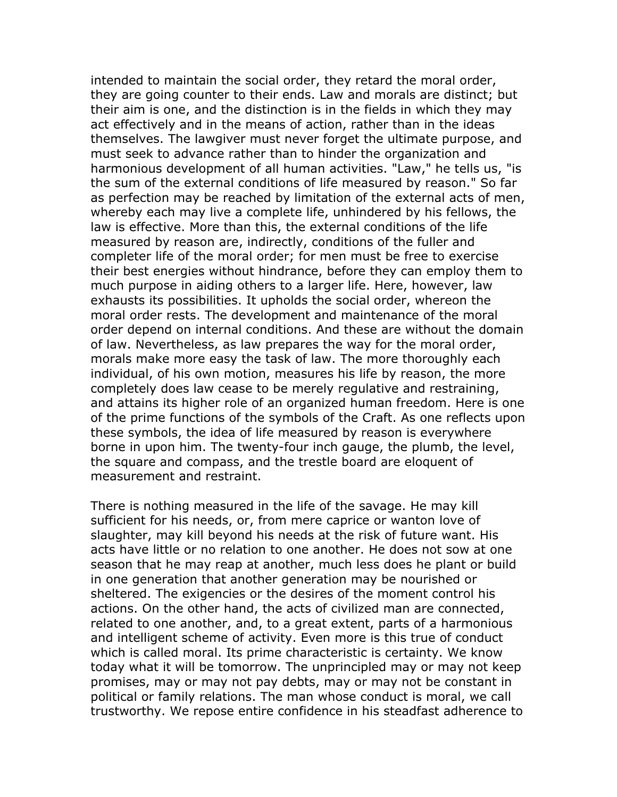intended to maintain the social order, they retard the moral order, they are going counter to their ends. Law and morals are distinct; but their aim is one, and the distinction is in the fields in which they may act effectively and in the means of action, rather than in the ideas themselves. The lawgiver must never forget the ultimate purpose, and must seek to advance rather than to hinder the organization and harmonious development of all human activities. "Law," he tells us, "is the sum of the external conditions of life measured by reason." So far as perfection may be reached by limitation of the external acts of men, whereby each may live a complete life, unhindered by his fellows, the law is effective. More than this, the external conditions of the life measured by reason are, indirectly, conditions of the fuller and completer life of the moral order; for men must be free to exercise their best energies without hindrance, before they can employ them to much purpose in aiding others to a larger life. Here, however, law exhausts its possibilities. It upholds the social order, whereon the moral order rests. The development and maintenance of the moral order depend on internal conditions. And these are without the domain of law. Nevertheless, as law prepares the way for the moral order, morals make more easy the task of law. The more thoroughly each individual, of his own motion, measures his life by reason, the more completely does law cease to be merely regulative and restraining, and attains its higher role of an organized human freedom. Here is one of the prime functions of the symbols of the Craft. As one reflects upon these symbols, the idea of life measured by reason is everywhere borne in upon him. The twenty-four inch gauge, the plumb, the level, the square and compass, and the trestle board are eloquent of measurement and restraint.

There is nothing measured in the life of the savage. He may kill sufficient for his needs, or, from mere caprice or wanton love of slaughter, may kill beyond his needs at the risk of future want. His acts have little or no relation to one another. He does not sow at one season that he may reap at another, much less does he plant or build in one generation that another generation may be nourished or sheltered. The exigencies or the desires of the moment control his actions. On the other hand, the acts of civilized man are connected, related to one another, and, to a great extent, parts of a harmonious and intelligent scheme of activity. Even more is this true of conduct which is called moral. Its prime characteristic is certainty. We know today what it will be tomorrow. The unprincipled may or may not keep promises, may or may not pay debts, may or may not be constant in political or family relations. The man whose conduct is moral, we call trustworthy. We repose entire confidence in his steadfast adherence to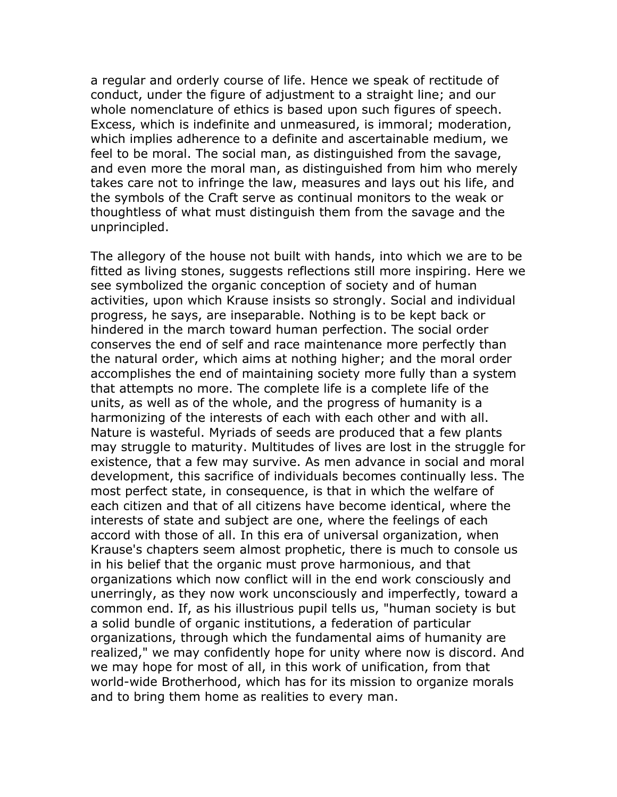a regular and orderly course of life. Hence we speak of rectitude of conduct, under the figure of adjustment to a straight line; and our whole nomenclature of ethics is based upon such figures of speech. Excess, which is indefinite and unmeasured, is immoral; moderation, which implies adherence to a definite and ascertainable medium, we feel to be moral. The social man, as distinguished from the savage, and even more the moral man, as distinguished from him who merely takes care not to infringe the law, measures and lays out his life, and the symbols of the Craft serve as continual monitors to the weak or thoughtless of what must distinguish them from the savage and the unprincipled.

The allegory of the house not built with hands, into which we are to be fitted as living stones, suggests reflections still more inspiring. Here we see symbolized the organic conception of society and of human activities, upon which Krause insists so strongly. Social and individual progress, he says, are inseparable. Nothing is to be kept back or hindered in the march toward human perfection. The social order conserves the end of self and race maintenance more perfectly than the natural order, which aims at nothing higher; and the moral order accomplishes the end of maintaining society more fully than a system that attempts no more. The complete life is a complete life of the units, as well as of the whole, and the progress of humanity is a harmonizing of the interests of each with each other and with all. Nature is wasteful. Myriads of seeds are produced that a few plants may struggle to maturity. Multitudes of lives are lost in the struggle for existence, that a few may survive. As men advance in social and moral development, this sacrifice of individuals becomes continually less. The most perfect state, in consequence, is that in which the welfare of each citizen and that of all citizens have become identical, where the interests of state and subject are one, where the feelings of each accord with those of all. In this era of universal organization, when Krause's chapters seem almost prophetic, there is much to console us in his belief that the organic must prove harmonious, and that organizations which now conflict will in the end work consciously and unerringly, as they now work unconsciously and imperfectly, toward a common end. If, as his illustrious pupil tells us, "human society is but a solid bundle of organic institutions, a federation of particular organizations, through which the fundamental aims of humanity are realized," we may confidently hope for unity where now is discord. And we may hope for most of all, in this work of unification, from that world-wide Brotherhood, which has for its mission to organize morals and to bring them home as realities to every man.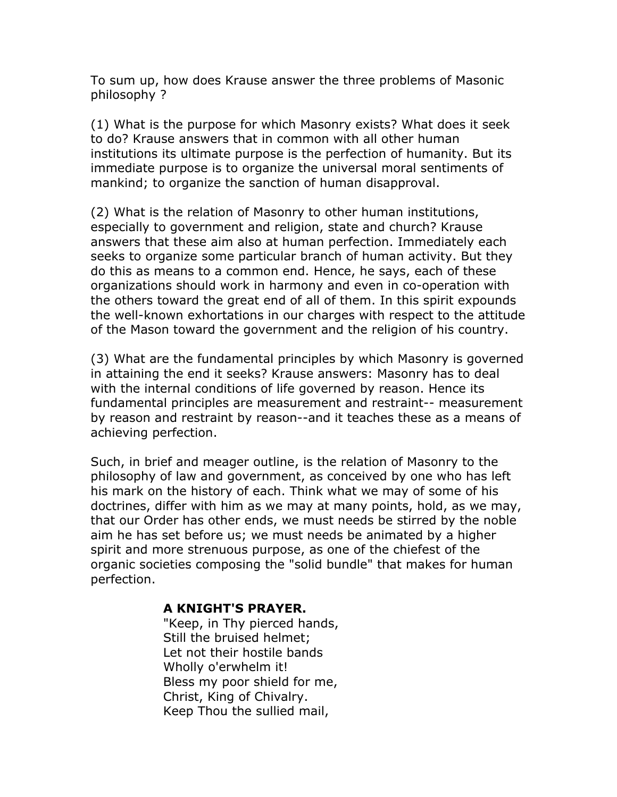To sum up, how does Krause answer the three problems of Masonic philosophy ?

(1) What is the purpose for which Masonry exists? What does it seek to do? Krause answers that in common with all other human institutions its ultimate purpose is the perfection of humanity. But its immediate purpose is to organize the universal moral sentiments of mankind; to organize the sanction of human disapproval.

(2) What is the relation of Masonry to other human institutions, especially to government and religion, state and church? Krause answers that these aim also at human perfection. Immediately each seeks to organize some particular branch of human activity. But they do this as means to a common end. Hence, he says, each of these organizations should work in harmony and even in co-operation with the others toward the great end of all of them. In this spirit expounds the well-known exhortations in our charges with respect to the attitude of the Mason toward the government and the religion of his country.

(3) What are the fundamental principles by which Masonry is governed in attaining the end it seeks? Krause answers: Masonry has to deal with the internal conditions of life governed by reason. Hence its fundamental principles are measurement and restraint-- measurement by reason and restraint by reason--and it teaches these as a means of achieving perfection.

Such, in brief and meager outline, is the relation of Masonry to the philosophy of law and government, as conceived by one who has left his mark on the history of each. Think what we may of some of his doctrines, differ with him as we may at many points, hold, as we may, that our Order has other ends, we must needs be stirred by the noble aim he has set before us; we must needs be animated by a higher spirit and more strenuous purpose, as one of the chiefest of the organic societies composing the "solid bundle" that makes for human perfection.

## **A KNIGHT'S PRAYER.**

"Keep, in Thy pierced hands, Still the bruised helmet; Let not their hostile bands Wholly o'erwhelm it! Bless my poor shield for me, Christ, King of Chivalry. Keep Thou the sullied mail,